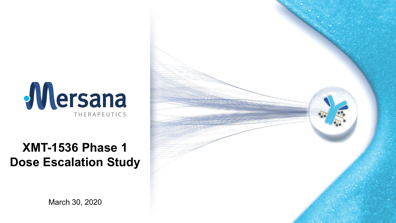

### **XMT-1536 Phase 1 Dose Escalation Study**



March 30, 2020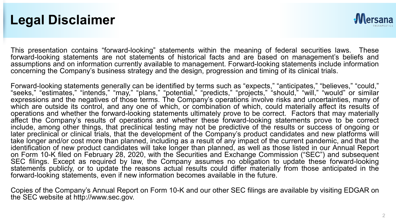### **Legal Disclaimer**



This presentation contains "forward-looking" statements within the meaning of federal securities laws. These forward-looking statements are not statements of historical facts and are based on management's beliefs and assumptions and on information currently available to management. Forward-looking statements include information concerning the Company's business strategy and the design, progression and timing of its clinical trials.

Forward-looking statements generally can be identified by terms such as "expects," "anticipates," "believes," "could," "seeks," "estimates," "intends," "may," "plans," "potential," "predicts," "projects," "should," "will," "would" or similar expressions and the negatives of those terms. The Company's operations involve risks and uncertainties, many of which are outside its control, and any one of which, or combination of which, could materially affect its results of operations and whether the forward-looking statements ultimately prove to be correct. Factors that may materially affect the Company's results of operations and whether these forward-looking statements prove to be correct include, among other things, that preclinical testing may not be predictive of the results or success of ongoing or later preclinical or clinical trials, that the development of the Company's product candidates and new platforms will take longer and/or cost more than planned, including as a result of any impact of the current pandemic, and that the identification of new product candidates will take longer than planned, as well as those listed in our Annual Report on Form 10-K filed on February 28, 2020, with the Securities and Exchange Commission ("SEC") and subsequent SEC filings. Except as required by law, the Company assumes no obligation to update these forward-looking statements publicly, or to update the reasons actual results could differ materially from those anticipated in the forward-looking statements, even if new information becomes available in the future.

Copies of the Company's Annual Report on Form 10-K and our other SEC filings are available by visiting EDGAR on the SEC website at http://www.sec.gov.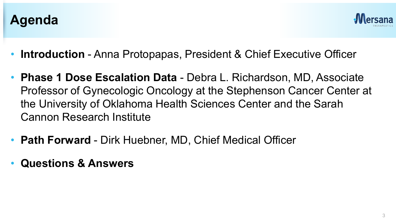



- **Introduction** Anna Protopapas, President & Chief Executive Officer
- **Phase 1 Dose Escalation Data**  Debra L. Richardson, MD, Associate Professor of Gynecologic Oncology at the Stephenson Cancer Center at the University of Oklahoma Health Sciences Center and the Sarah Cannon Research Institute
- **Path Forward**  Dirk Huebner, MD, Chief Medical Officer
- **Questions & Answers**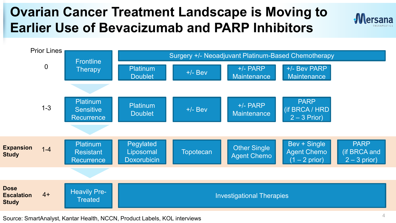## **Ovarian Cancer Treatment Landscape is Moving to Earlier Use of Bevacizumab and PARP Inhibitors**





Source: SmartAnalyst, Kantar Health, NCCN, Product Labels, KOL interviews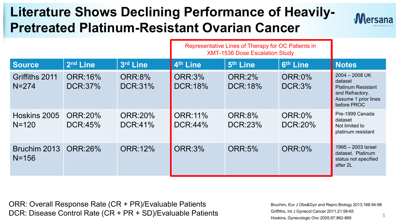## **Literature Shows Declining Performance of Heavily-Pretreated Platinum-Resistant Ovarian Cancer**



|                             |                           |                           | Representative Lines of Therapy for OC Patients in<br><b>XMT-1536 Dose Escalation Study</b> |                                 |                                |                                                                                                                    |
|-----------------------------|---------------------------|---------------------------|---------------------------------------------------------------------------------------------|---------------------------------|--------------------------------|--------------------------------------------------------------------------------------------------------------------|
| <b>Source</b>               | 2 <sup>nd</sup> Line      | 3rd Line                  | 4th Line                                                                                    | 5 <sup>th</sup> Line            | 6th Line                       | <b>Notes</b>                                                                                                       |
| Griffiths 2011<br>$N = 274$ | <b>ORR:16%</b><br>DCR:37% | <b>ORR:8%</b><br>DCR:31%  | <b>ORR:3%</b><br><b>DCR:18%</b>                                                             | <b>ORR:2%</b><br><b>DCR:18%</b> | <b>ORR:0%</b><br><b>DCR:3%</b> | $2004 - 2008$ UK<br>dataset<br><b>Platinum Resistant</b><br>and Refractory.<br>Assume 1 prior lines<br>before PROC |
| Hoskins 2005<br>$N = 120$   | <b>ORR:20%</b><br>DCR:45% | <b>ORR:20%</b><br>DCR:41% | <b>ORR:11%</b><br>DCR:44%                                                                   | <b>ORR:8%</b><br><b>DCR:23%</b> | <b>ORR:0%</b><br>DCR:20%       | Pre-1999 Canada<br>dataset<br>Not limited to<br>platinum resistant                                                 |
| Bruchim 2013<br>$N = 156$   | ORR:26%                   | <b>ORR:12%</b>            | <b>ORR:3%</b>                                                                               | <b>ORR:5%</b>                   | <b>ORR:0%</b>                  | 1995 - 2003 Israel<br>dataset. Platinum<br>status not specified<br>after 2L                                        |

ORR: Overall Response Rate (CR + PR)/Evaluable Patients DCR: Disease Control Rate (CR + PR + SD)/Evaluable Patients

Bruchim, Eur J Obs&Gyn and Repro Biology 2013;166:94-98 Griffiths, Int J Gynecol Cancer 2011;21:58-65 Hoskins, Gynecologic Onc 2005;97:862-869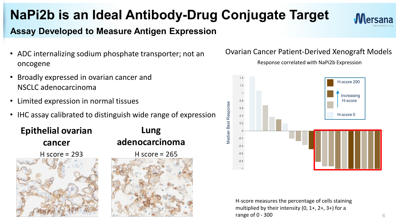#### 6

**NaPi2b is an Ideal Antibody-Drug Conjugate Target** 

### **Assay Developed to Measure Antigen Expression**

- ADC internalizing sodium phosphate transporter; not an oncogene
- Broadly expressed in ovarian cancer and NSCLC adenocarcinoma
- Limited expression in normal tissues
- IHC assay calibrated to distinguish wide range of expression



# **Lung adenocarcinoma** H score =  $265$

Ovarian Cancer Patient-Derived Xenograft Models

Response correlated with NaPi2b Expression





**Mersana** 

H-score 290  $12$ Increasing  $0.8$ H-score**Vledian Best Response** Median Best Response  $0.6$ H-score 0  $0.4$  $0.2$  $-0.2$  $-0.4$  $-0.6$  $-0.8$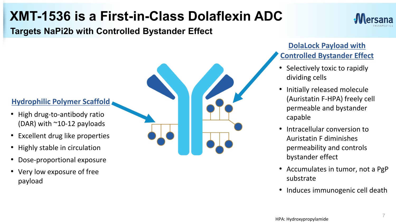### **XMT-1536 is a First-in-Class Dolaflexin ADC**

**Targets NaPi2b with Controlled Bystander Effect**

### **Hydrophilic Polymer Scaffold**

- High drug-to-antibody ratio (DAR) with  $^{\sim}10$ -12 payloads
- Excellent drug like properties
- Highly stable in circulation
- Dose-proportional exposure
- Very low exposure of free payload

#### 7

### **DolaLock Payload with Controlled Bystander Effect**

- Selectively toxic to rapidly dividing cells
- Initially released molecule (Auristatin F-HPA) freely cell permeable and bystander capable
- Intracellular conversion to Auristatin F diminishes permeability and controls bystander effect
- Accumulates in tumor, not a PgP substrate
- Induces immunogenic cell death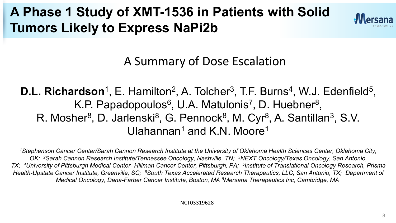## **A Phase 1 Study of XMT-1536 in Patients with Solid Tumors Likely to Express NaPi2b**



A Summary of Dose Escalation

**D.L. Richardson**<sup>1</sup>, E. Hamilton<sup>2</sup>, A. Tolcher<sup>3</sup>, T.F. Burns<sup>4</sup>, W.J. Edenfield<sup>5</sup>, K.P. Papadopoulos<sup>6</sup>, U.A. Matulonis<sup>7</sup>, D. Huebner<sup>8</sup>, R. Mosher<sup>8</sup>, D. Jarlenski<sup>8</sup>, G. Pennock<sup>8</sup>, M. Cyr<sup>8</sup>, A. Santillan<sup>3</sup>, S.V. Ulahannan<sup>1</sup> and K<sub>N</sub> Moore<sup>1</sup>

*1Stephenson Cancer Center/Sarah Cannon Research Institute at the University of Oklahoma Health Sciences Center, Oklahoma City, OK; 2Sarah Cannon Research Institute/Tennessee Oncology, Nashville, TN; 3NEXT Oncology/Texas Oncology, San Antonio, TX; 4University of Pittsburgh Medical Center- Hillman Cancer Center, Pittsburgh, PA; 5Institute of Translational Oncology Research, Prisma Health-Upstate Cancer Institute, Greenville, SC; 6South Texas Accelerated Research Therapeutics, LLC, San Antonio, TX; Department of Medical Oncology, Dana-Farber Cancer Institute, Boston, MA 8Mersana Therapeutics Inc, Cambridge, MA*

NCT03319628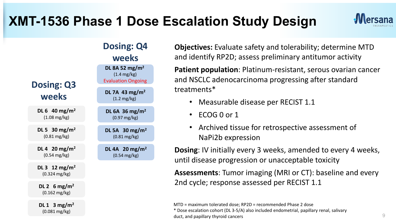## **XMT-1536 Phase 1 Dose Escalation Study Design**



|                                                        | <b>Dosing: Q4</b>                                                                |
|--------------------------------------------------------|----------------------------------------------------------------------------------|
|                                                        | weeks                                                                            |
| <b>Dosing: Q3</b>                                      | DL 8A 52 mg/m <sup>2</sup><br>$(1.4 \text{ mg/kg})$<br><b>Evaluation Ongoing</b> |
| weeks                                                  | DL 7A 43 mg/m <sup>2</sup><br>$(1.2 \text{ mg/kg})$                              |
| DL 6 40 mg/m <sup>2</sup><br>$(1.08 \text{ mg/kg})$    | DL 6A 36 mg/m <sup>2</sup><br>$(0.97 \text{ mg/kg})$                             |
| DL 5 30 mg/m <sup>2</sup><br>$(0.81 \,\mathrm{mg/kg})$ | DL 5A 30 mg/m <sup>2</sup><br>$(0.81 \,\mathrm{mg/kg})$                          |
| DL 4 20 mg/m <sup>2</sup><br>$(0.54 \, \text{mg/kg})$  | DL 4A 20 mg/m <sup>2</sup><br>$(0.54 \, \text{mg/kg})$                           |
| DL 3 12 mg/m <sup>2</sup><br>$(0.324 \text{ mg/kg})$   |                                                                                  |
| DL 2 6 mg/m <sup>2</sup><br>$(0.162 \text{ mg/kg})$    |                                                                                  |
| DL 1 $3 \text{ mg/m}^2$<br>$(0.081 \text{ mg/kg})$     |                                                                                  |

**Objectives:** Evaluate safety and tolerability; determine MTD and identify RP2D; assess preliminary antitumor activity

**Patient population**: Platinum-resistant, serous ovarian cancer and NSCLC adenocarcinoma progressing after standard treatments\*

- Measurable disease per RECIST 1.1
- ECOG 0 or 1
- Archived tissue for retrospective assessment of NaPi2b expression

**Dosing**: IV initially every 3 weeks, amended to every 4 weeks, until disease progression or unacceptable toxicity

**Assessments**: Tumor imaging (MRI or CT): baseline and every 2nd cycle; response assessed per RECIST 1.1

MTD = maximum tolerated dose; RP2D = recommended Phase 2 dose

\* Dose escalation cohort (DL 3-5/A) also included endometrial, papillary renal, salivary duct, and papillary thyroid cancers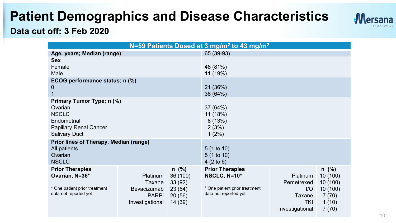### **Patient Demographics and Disease Characteristics**



### **Data cut off: 3 Feb 2020**

|                                                                                                                       | N=59 Patients Dosed at 3 mg/m <sup>2</sup> to 43 mg/m <sup>2</sup>   |                                                                 |                                                                                                  |                                                                   |                                                                        |  |
|-----------------------------------------------------------------------------------------------------------------------|----------------------------------------------------------------------|-----------------------------------------------------------------|--------------------------------------------------------------------------------------------------|-------------------------------------------------------------------|------------------------------------------------------------------------|--|
| Age, years; Median (range)                                                                                            |                                                                      |                                                                 | 65 (39-93)                                                                                       |                                                                   |                                                                        |  |
| <b>Sex</b><br>Female<br>Male                                                                                          |                                                                      |                                                                 | 48 (81%)<br>11 (19%)                                                                             |                                                                   |                                                                        |  |
| ECOG performance status; n (%)<br>0                                                                                   |                                                                      |                                                                 | 21 (36%)<br>38 (64%)                                                                             |                                                                   |                                                                        |  |
| Primary Tumor Type; n (%)<br>Ovarian<br><b>NSCLC</b><br>Endometrial<br>Papillary Renal Cancer<br><b>Salivary Duct</b> |                                                                      |                                                                 | 37 (64%)<br>11 (18%)<br>8(13%)<br>2(3%)<br>$1(2\%)$                                              |                                                                   |                                                                        |  |
| Prior lines of Therapy, Median (range)<br>All patients<br>Ovarian<br><b>NSCLC</b>                                     |                                                                      |                                                                 | 5(1 to 10)<br>5(1 to 10)<br>$4(2 \text{ to } 6)$                                                 |                                                                   |                                                                        |  |
| <b>Prior Therapies</b><br>Ovarian, N=36*<br>* One patient prior treatment<br>data not reported yet                    | Platinum<br>Taxane<br>Bevacizumab<br><b>PARPi</b><br>Investigational | $n \ (\%)$<br>36 (100)<br>33(92)<br>23(64)<br>20(56)<br>14 (39) | <b>Prior Therapies</b><br>NSCLC, N=10*<br>* One patient prior treatment<br>data not reported yet | Platinum<br>Pemetrexed<br>I/O<br>Taxane<br>TKI<br>Investigational | $n \ (\%)$<br>10(100)<br>10(100)<br>10(100)<br>7(70)<br>1(10)<br>7(70) |  |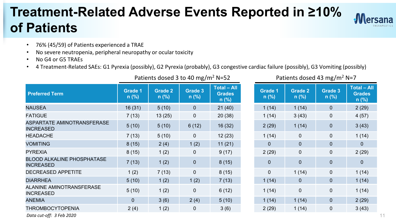### **Treatment-Related Adverse Events Reported in ≥10% of Patients**



- 76% (45/59) of Patients experienced a TRAE
- No severe neutropenia, peripheral neuropathy or ocular toxicity
- No G4 or G5 TRAEs
- 4 Treatment-Related SAEs: G1 Pyrexia (possibly), G2 Pyrexia (probably), G3 congestive cardiac failure (possibly), G3 Vomiting (possibly)

| <b>Preferred Term</b>                                 | <b>Grade 1</b><br>$n$ (%) | Grade 2<br>$n$ (%) | <b>Grade 3</b><br>$n$ (%) | <b>Total - All</b><br><b>Grades</b><br>$n$ (%) | <b>Grade 1</b><br>$n$ (%) | Grade 2<br>$n$ (%) | Grade 3<br>$n$ (%) | Total $-$<br>Grade<br>n (%) |
|-------------------------------------------------------|---------------------------|--------------------|---------------------------|------------------------------------------------|---------------------------|--------------------|--------------------|-----------------------------|
| <b>NAUSEA</b>                                         | 16(31)                    | 5(10)              | $\mathbf{0}$              | 21(40)                                         | 1(14)                     | 1(14)              | $\mathbf{0}$       | 2(29)                       |
| <b>FATIGUE</b>                                        | 7(13)                     | 13(25)             | $\mathbf{0}$              | 20(38)                                         | 1(14)                     | 3(43)              | $\mathbf{0}$       | 4(57)                       |
| ASPARTATE AMINOTRANSFERASE<br><b>INCREASED</b>        | 5(10)                     | 5(10)              | 6(12)                     | 16(32)                                         | 2(29)                     | 1(14)              | $\mathbf{0}$       | 3(43)                       |
| <b>HEADACHE</b>                                       | 7(13)                     | 5(10)              | $\mathbf{0}$              | 12(23)                                         | 1(14)                     | $\mathbf{0}$       | $\mathbf{0}$       | 1(14)                       |
| <b>VOMITING</b>                                       | 8(15)                     | 2(4)               | 1(2)                      | 11(21)                                         | $\mathbf{0}$              | $\mathbf{0}$       | $\mathbf{0}$       | $\mathbf{0}$                |
| <b>PYREXIA</b>                                        | 8(15)                     | 1(2)               | $\mathbf{0}$              | 9(17)                                          | 2(29)                     | $\mathbf 0$        | $\mathbf{0}$       | 2(29)                       |
| <b>BLOOD ALKALINE PHOSPHATASE</b><br><b>INCREASED</b> | 7(13)                     | 1(2)               | 0                         | 8(15)                                          | $\mathbf{0}$              | $\mathbf{0}$       | $\mathbf{0}$       | $\Omega$                    |
| DECREASED APPETITE                                    | 1(2)                      | 7(13)              | $\mathbf{0}$              | 8(15)                                          | $\mathbf{0}$              | 1(14)              | $\mathbf{0}$       | 1(14)                       |
| <b>DIARRHEA</b>                                       | 5(10)                     | 1(2)               | 1(2)                      | 7(13)                                          | 1(14)                     | $\mathbf{0}$       | $\mathbf{0}$       | 1(14)                       |
| ALANINE AMINOTRANSFERASE<br><b>INCREASED</b>          | 5(10)                     | 1(2)               | $\Omega$                  | 6(12)                                          | 1(14)                     | $\mathbf{0}$       | $\mathbf{0}$       | 1(14)                       |
| <b>ANEMIA</b>                                         | $\Omega$                  | 3(6)               | 2(4)                      | 5(10)                                          | 1(14)                     | 1(14)              | $\mathbf{0}$       | 2(29)                       |
| <b>THROMBOCYTOPENIA</b>                               | 2(4)                      | 1(2)               | 0                         | 3(6)                                           | 2(29)                     | 1(14)              | 0                  | 3(43)                       |

Patients dosed 3 to 40 mg/m<sup>2</sup> N=52 Patients dosed 43 mg/m<sup>2</sup> N=7

| Grade 1<br>n (%) | <b>Grade 2</b><br>n (%) | Grade 3<br>n (%) | <b>Total - All</b><br><b>Grades</b><br>n (%) |
|------------------|-------------------------|------------------|----------------------------------------------|
| 1(14)            | 1(14)                   | 0                | 2(29)                                        |
| 1(14)            | 3(43)                   | 0                | 4(57)                                        |
| 2(29)            | 1(14)                   | 0                | 3(43)                                        |
| 1(14)            | 0                       | 0                | 1(14)                                        |
| 0                | 0                       | 0                | 0                                            |
| 2(29)            | 0                       | 0                | 2(29)                                        |
| 0                | 0                       | 0                | 0                                            |
| 0                | 1(14)                   | 0                | 1(14)                                        |
| 1(14)            | 0                       | 0                | 1(14)                                        |
| 1(14)            | 0                       | 0                | 1(14)                                        |
| 1(14)            | 1(14)                   | 0                | 2(29)                                        |
| 2(29)            | 1(14)                   | 0                | 3(43)                                        |

*Data cut-off: 3 Feb 2020*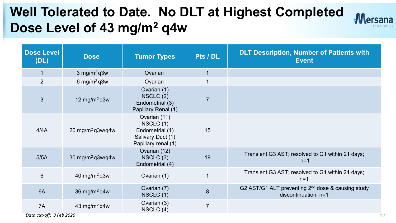## **Well Tolerated to Date. No DLT at Highest Completed Dose Level of 43 mg/m2 q4w**



| <b>Dose Level</b><br>(DL) | <b>Dose</b>                  | <b>Tumor Types</b>                                                                      | Pts / DL       | <b>DLT Description, Number of Patients with</b><br><b>Event</b>                       |
|---------------------------|------------------------------|-----------------------------------------------------------------------------------------|----------------|---------------------------------------------------------------------------------------|
| $\vert$ 1                 | 3 mg/m <sup>2</sup> q3w      | Ovarian                                                                                 | $\mathbf{1}$   |                                                                                       |
| $\overline{2}$            | 6 mg/m <sup>2</sup> q3w      | Ovarian                                                                                 | $\overline{1}$ |                                                                                       |
| 3                         | 12 mg/m <sup>2</sup> q3w     | Ovarian (1)<br>NSCLC(2)<br>Endometrial (3)<br>Papillary Renal (1)                       | $\overline{7}$ |                                                                                       |
| 4/4A                      | 20 mg/m <sup>2</sup> q3w/q4w | Ovarian (11)<br>NSCLC(1)<br>Endometrial (1)<br>Salivary Duct (1)<br>Papillary renal (1) | 15             |                                                                                       |
| 5/5A                      | 30 mg/m <sup>2</sup> q3w/q4w | Ovarian (12)<br>NSCLC(3)<br>Endometrial (4)                                             | 19             | Transient G3 AST; resolved to G1 within 21 days;<br>$n=1$                             |
| $6\phantom{1}$            | 40 mg/m <sup>2</sup> q3w     | Ovarian (1)                                                                             | 1              | Transient G3 AST; resolved to G1 within 21 days;<br>$n=1$                             |
| 6A                        | 36 mg/m <sup>2</sup> q4w     | Ovarian (7)<br>NSCLC(1)                                                                 | $\,8\,$        | G2 AST/G1 ALT preventing 2 <sup>nd</sup> dose & causing study<br>discontinuation; n=1 |
| 7A                        | 43 mg/m <sup>2</sup> q4w     | Ovarian (3)<br>NSCLC $(4)$                                                              | $\overline{7}$ |                                                                                       |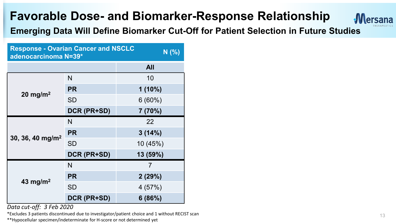

**Emerging Data Will Define Biomarker Cut-Off for Patient Selection in Future Studies**

| <b>Response - Ovarian Cancer and NSCLC</b><br>N(% )<br>adenocarcinoma N=39* |             |            |  |  |
|-----------------------------------------------------------------------------|-------------|------------|--|--|
|                                                                             |             | <b>All</b> |  |  |
|                                                                             | N           | 10         |  |  |
| 20 mg/m <sup>2</sup>                                                        | <b>PR</b>   | $1(10\%)$  |  |  |
|                                                                             | <b>SD</b>   | $6(60\%)$  |  |  |
|                                                                             | DCR (PR+SD) | 7 (70%)    |  |  |
|                                                                             | N           | 22         |  |  |
|                                                                             | <b>PR</b>   | 3(14%)     |  |  |
| 30, 36, 40 mg/m <sup>2</sup>                                                | <b>SD</b>   | 10 (45%)   |  |  |
|                                                                             | DCR (PR+SD) | 13 (59%)   |  |  |
|                                                                             | N           | 7          |  |  |
|                                                                             | <b>PR</b>   | 2(29%)     |  |  |
| 43 mg/m <sup>2</sup>                                                        | <b>SD</b>   | 4(57%)     |  |  |
|                                                                             | DCR (PR+SD) | 6(86%)     |  |  |

*Data cut-off: 3 Feb 2020*

\*Excludes 3 patients discontinued due to investigator/patient choice and 1 without RECIST scan  $13$ 

\*\*Hypocellular specimen/indeterminate for H-score or not determined yet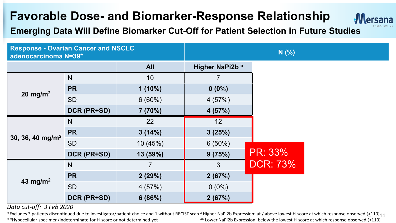

### **Emerging Data Will Define Biomarker Cut-Off for Patient Selection in Future Studies**

| <b>Response - Ovarian Cancer and NSCLC</b><br>adenocarcinoma N=39* |             | N(% )          |                 |                 |  |
|--------------------------------------------------------------------|-------------|----------------|-----------------|-----------------|--|
|                                                                    |             | <b>All</b>     | Higher NaPi2b ° |                 |  |
|                                                                    | N           | 10             |                 |                 |  |
|                                                                    | <b>PR</b>   | $1(10\%)$      | $0(0\%)$        |                 |  |
| 20 mg/m <sup>2</sup>                                               | <b>SD</b>   | 6(60%)         | 4(57%)          |                 |  |
|                                                                    | DCR (PR+SD) | 7(70%)         | 4(57%)          |                 |  |
|                                                                    | N           | 22             | 12              |                 |  |
| 30, 36, 40 mg/m <sup>2</sup>                                       | <b>PR</b>   | 3(14%)         | 3(25%)          |                 |  |
|                                                                    | <b>SD</b>   | 10 (45%)       | 6(50%)          |                 |  |
|                                                                    | DCR (PR+SD) | 13 (59%)       | 9(75%)          | PR: 33%         |  |
|                                                                    | N           | $\overline{7}$ | 3               | <b>DCR: 73%</b> |  |
| 43 mg/m <sup>2</sup>                                               | <b>PR</b>   | 2(29%)         | 2(67%)          |                 |  |
|                                                                    | <b>SD</b>   | 4(57%)         | $0(0\%)$        |                 |  |
|                                                                    | DCR (PR+SD) | 6(86%)         | 2(67%)          |                 |  |

*Data cut-off: 3 Feb 2020*

\*Excludes 3 patients discontinued due to investigator/patient choice and 1 without RECIST scan <sup>0</sup> Higher NaPi2b Expression: at / above lowest H-score at which response observed (>110) <sub>14</sub><br>\*\*Hypocellular specimen/indeter \*\*Hypocellular specimen/indeterminate for H-score or not determined yet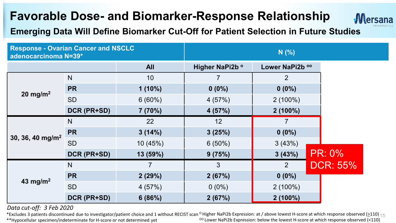

### **Emerging Data Will Define Biomarker Cut-Off for Patient Selection in Future Studies**

| <b>Response - Ovarian Cancer and NSCLC</b><br>adenocarcinoma N=39* |             | N(%            |                 |                 |                 |
|--------------------------------------------------------------------|-------------|----------------|-----------------|-----------------|-----------------|
|                                                                    |             | <b>All</b>     | Higher NaPi2b ° | Lower NaPi2b 00 |                 |
|                                                                    | N           | 10             | $\overline{7}$  | $\overline{2}$  |                 |
|                                                                    | <b>PR</b>   | $1(10\%)$      | $0(0\%)$        | $0(0\%)$        |                 |
| 20 mg/m <sup>2</sup>                                               | <b>SD</b>   | 6(60%)         | 4 (57%)         | $2(100\%)$      |                 |
|                                                                    | DCR (PR+SD) | 7(70%)         | 4(57%)          | $2(100\%)$      |                 |
|                                                                    | N           | 22             | 12              | $\overline{7}$  |                 |
|                                                                    | <b>PR</b>   | 3(14%)         | 3(25%)          | $0(0\%)$        |                 |
| 30, 36, 40 mg/m <sup>2</sup>                                       | <b>SD</b>   | 10 (45%)       | $6(50\%)$       | 3(43%)          |                 |
|                                                                    | DCR (PR+SD) | 13 (59%)       | 9(75%)          | 3(43%)          | <b>PR: 0%</b>   |
|                                                                    | N           | $\overline{7}$ | $\mathbf{3}$    | $\overline{2}$  | <b>DCR: 55%</b> |
| 43 mg/m <sup>2</sup>                                               | <b>PR</b>   | 2(29%)         | 2(67%)          | $0(0\%)$        |                 |
|                                                                    | <b>SD</b>   | 4(57%)         | $0(0\%)$        | $2(100\%)$      |                 |
|                                                                    | DCR (PR+SD) | 6(86%)         | 2(67%)          | $2(100\%)$      |                 |

#### *Data cut-off: 3 Feb 2020*

\*Excludes 3 patients discontinued due to investigator/patient choice and 1 without RECIST scan <sup>0</sup> Higher NaPi2b Expression: at / above lowest H-score at which response observed (≥110) <sub>15</sub><br>\*\*Hypocellular specimen/indeter \*\*Hypocellular specimen/indeterminate for H-score or not determined yet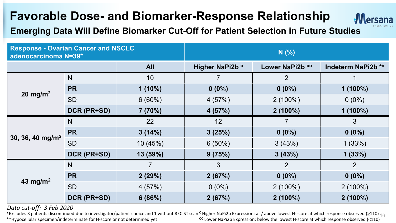

### **Emerging Data Will Define Biomarker Cut-Off for Patient Selection in Future Studies**

| <b>Response - Ovarian Cancer and NSCLC</b><br>adenocarcinoma N=39* |              |                | N(%)            |                 |                    |  |
|--------------------------------------------------------------------|--------------|----------------|-----------------|-----------------|--------------------|--|
|                                                                    |              | <b>All</b>     | Higher NaPi2b ° | Lower NaPi2b 00 | Indeterm NaPi2b ** |  |
|                                                                    | $\mathsf{N}$ | 10             |                 | $\overline{2}$  |                    |  |
|                                                                    | <b>PR</b>    | $1(10\%)$      | $0(0\%)$        | $0(0\%)$        | $1(100\%)$         |  |
| $20 \text{ mg/m}^2$                                                | <b>SD</b>    | 6(60%)         | 4(57%)          | $2(100\%)$      | $0(0\%)$           |  |
|                                                                    | DCR (PR+SD)  | 7(70%)         | 4(57%)          | $2(100\%)$      | $1(100\%)$         |  |
|                                                                    | N            | 22             | 12              | $\overline{7}$  | 3                  |  |
|                                                                    | <b>PR</b>    | 3(14%)         | 3(25%)          | $0(0\%)$        | $0(0\%)$           |  |
| 30, 36, 40 mg/m <sup>2</sup>                                       | <b>SD</b>    | 10 (45%)       | $6(50\%)$       | 3(43%)          | 1(33%)             |  |
|                                                                    | DCR (PR+SD)  | 13 (59%)       | 9(75%)          | 3(43%)          | 1(33%)             |  |
|                                                                    | N            | $\overline{7}$ | 3               | $\overline{2}$  | 2                  |  |
| 43 mg/m <sup>2</sup>                                               | <b>PR</b>    | 2(29%)         | 2(67%)          | $0(0\%)$        | $0(0\%)$           |  |
|                                                                    | <b>SD</b>    | 4(57%)         | $0(0\%)$        | $2(100\%)$      | $2(100\%)$         |  |
|                                                                    | DCR (PR+SD)  | 6(86%)         | 2(67%)          | $2(100\%)$      | $2(100\%)$         |  |

#### *Data cut-off: 3 Feb 2020*

<sup>00</sup> Lower NaPi2b Expression: below the lowest H-score at which response observed (<110) \*Excludes 3 patients discontinued due to investigator/patient choice and 1 without RECIST scan <sup>0</sup> Higher NaPi2b Expression: at / above lowest H-score at which response observed (>110) <sub>16</sub> \*\*Hypocellular specimen/indeterminate for H-score or not determined yet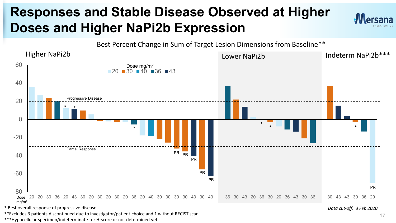## **Responses and Stable Disease Observed at Higher Doses and Higher NaPi2b Expression**





\* Best overall response of progressive disease

\*\*Excludes 3 patients discontinued due to investigator/patient choice and 1 without RECIST scan

\*\*\*Hypocellular specimen/indeterminate for H-score or not determined yet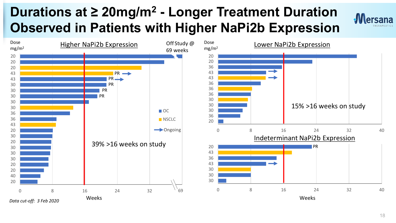## **Durations at ≥ 20mg/m<sup>2</sup> - Longer Treatment Duration Observed in Patients with Higher NaPi2b Expression**



**Mersana**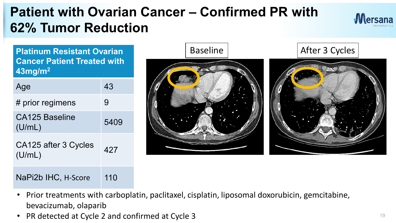## **Patient with Ovarian Cancer – Confirmed PR with 62% Tumor Reduction**



**Cancer Patient Treated with 43mg/m2**

| Age                            | 43   |
|--------------------------------|------|
| # prior regimens               | 9    |
| CA125 Baseline<br>(U/mL)       | 5409 |
| CA125 after 3 Cycles<br>(U/mL) | 427  |

### NaPi2b IHC, H-Score 110



- Prior treatments with carboplatin, paclitaxel, cisplatin, liposomal doxorubicin, gemcitabine, bevacizumab, olaparib
- PR detected at Cycle 2 and confirmed at Cycle 3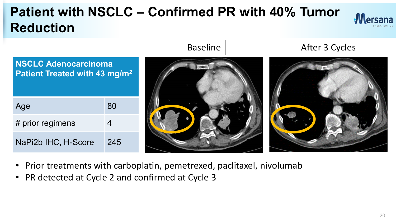## **Patient with NSCLC – Confirmed PR with 40% Tumor Reduction**





- Prior treatments with carboplatin, pemetrexed, paclitaxel, nivolumab
- PR detected at Cycle 2 and confirmed at Cycle 3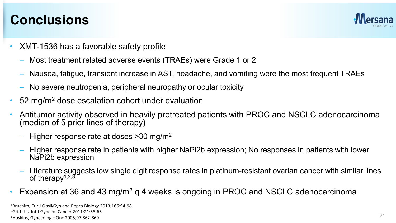### **Conclusions**



- XMT-1536 has a favorable safety profile
	- Most treatment related adverse events (TRAEs) were Grade 1 or 2
	- Nausea, fatigue, transient increase in AST, headache, and vomiting were the most frequent TRAEs
	- No severe neutropenia, peripheral neuropathy or ocular toxicity
- 52 mg/m<sup>2</sup> dose escalation cohort under evaluation
- Antitumor activity observed in heavily pretreated patients with PROC and NSCLC adenocarcinoma (median of 5 prior lines of therapy)
	- Higher response rate at doses  $>$ 30 mg/m<sup>2</sup>
	- Higher response rate in patients with higher NaPi2b expression; No responses in patients with lower NaPi2b expression
	- Literature suggests low single digit response rates in platinum-resistant ovarian cancer with similar lines of therapy<sup> $1,2,3$ </sup>
- Expansion at 36 and 43 mg/m<sup>2</sup> g 4 weeks is ongoing in PROC and NSCLC adenocarcinoma

1Bruchim, Eur J Obs&Gyn and Repro Biology 2013;166:94-98 2Griffiths, Int J Gynecol Cancer 2011;21:58-65 3Hoskins, Gynecologic Onc 2005;97:862-869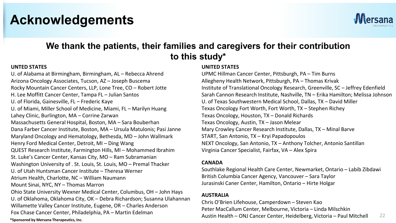### **Acknowledgements**



### **We thank the patients, their families and caregivers for their contribution to this study\***

#### **UNTED STATES**

**\*Sponsored by Mersana Therapeutics, Inc.** U. of Alabama at Birmingham, Birmingham, AL – Rebecca Ahrend Arizona Oncology Associates, Tucson, AZ – Joseph Buscema Rocky Mountain Cancer Centers, LLP, Lone Tree, CO – Robert Jotte H. Lee Moffitt Cancer Center, Tampa FL – Julian Santos U. of Florida, Gainesville, FL – Frederic Kaye U. of Miami, Miller School of Medicine, Miami, FL – Marilyn Huang Lahey Clinic, Burlington, MA – Corrine Zarwan Massachusetts General Hospital, Boston, MA – Sara Bouberhan Dana Farber Cancer Institute, Boston, MA – Ursula Matulonis; Pasi Janne Maryland Oncology and Hematology, Bethesda, MD – John Wallmark Henry Ford Medical Center, Detroit, MI – Ding Wang QUEST Research Institute, Farmington Hills, MI – Mohammed Ibrahim St. Luke's Cancer Center, Kansas City, MO – Ram Subramanian Washington University of . St. Louis, St. Louis, MO – Premal Thacker U. of Utah Huntsman Cancer Institute – Theresa Werner Atrium Health, Charlotte, NC – William Naumann Mount Sinai, NYC, NY – Thomas Marron Ohio State University Wexner Medical Center, Columbus, OH – John Hays U. of Oklahoma, Oklahoma City, OK – Debra Richardson; Susanna Ulahannan Willamette Valley Cancer Institute, Eugene, OR – Charles Anderson Fox Chase Cancer Center, Philadelphia, PA – Martin Edelman

#### **UNITED STATES**

UPMC Hillman Cancer Center, Pittsburgh, PA – Tim Burns Allegheny Health Network, Pittsburgh, PA – Thomas Krivak Institute of Translational Oncology Research, Greenville, SC – Jeffrey Edenfield Sarah Cannon Research Institute, Nashville, TN – Erika Hamilton; Melissa Johnson U. of Texas Southwestern Medical School, Dallas, TX – David Miller Texas Oncology Fort Worth, Fort Worth, TX – Stephen Richey Texas Oncology, Houston, TX – Donald Richards Texas Oncology, Austin, TX – Jason Melear Mary Crowley Cancer Research Institute, Dallas, TX – Minal Barve START, San Antonio, TX – Kryi Papadopoulos NEXT Oncology, San Antonio, TX – Anthony Tolcher, Antonio Santillan Virginia Cancer Specialist, Fairfax, VA – Alex Spira

#### **CANADA**

Southlake Regional Health Care Center, Newmarket, Ontario – Labib Zibdawi British Columbia Cancer Agency, Vancouver – Sara Taylor Jurasinski Caner Center, Hamilton, Ontario – Hirte Holgar

#### **AUSTRALIA**

22 Chris O'Brien Lifehouse, Camperdown – Steven Kao Peter MacCallum Center, Melbourne, Victoria – Linda Milschkin Austin Health – ONJ Cancer Center, Heidelberg, Victoria – Paul Mitchell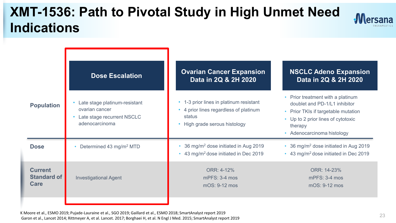### **XMT-1536: Path to Pivotal Study in High Unmet Need Indications**



|                                              | <b>Dose Escalation</b>                                                                          | <b>Ovarian Cancer Expansion</b><br>Data in 2Q & 2H 2020                                                                    | <b>NSCLC Adeno Expansion</b><br>Data in 2Q & 2H 2020                                                                                                                                     |
|----------------------------------------------|-------------------------------------------------------------------------------------------------|----------------------------------------------------------------------------------------------------------------------------|------------------------------------------------------------------------------------------------------------------------------------------------------------------------------------------|
| <b>Population</b>                            | Late stage platinum-resistant<br>ovarian cancer<br>Late stage recurrent NSCLC<br>adenocarcinoma | • 1-3 prior lines in platinum resistant<br>4 prior lines regardless of platinum<br>status<br>• High grade serous histology | • Prior treatment with a platinum<br>doublet and PD-1/L1 inhibitor<br>• Prior TKIs if targetable mutation<br>• Up to 2 prior lines of cytotoxic<br>therapy<br>• Adenocarcinoma histology |
| <b>Dose</b>                                  | Determined 43 mg/m <sup>2</sup> MTD                                                             | 36 mg/m <sup>2</sup> dose initiated in Aug 2019<br>43 mg/m <sup>2</sup> dose initiated in Dec 2019                         | 36 mg/m <sup>2</sup> dose initiated in Aug 2019<br>$\bullet$<br>• 43 mg/m <sup>2</sup> dose initiated in Dec 2019                                                                        |
| <b>Current</b><br><b>Standard of</b><br>Care | <b>Investigational Agent</b>                                                                    | ORR: 4-12%<br>$mPFS: 3-4 m$ os<br>$mOS: 9-12 m$                                                                            | ORR: 14-23%<br>$mPFS: 3-4 m$<br>$mOS: 9-12 m$                                                                                                                                            |
|                                              |                                                                                                 |                                                                                                                            |                                                                                                                                                                                          |

K Moore et al., ESMO 2019; Pujade-Lauraine et al., SGO 2019; Gaillard et al., ESMO 2018; SmartAnalyst report 2019 Garon et al., Lancet 2014; Rittmeyer A, et al. Lancet. 2017; Borghaei H, et al. N Engl J Med. 2015; SmartAnalyst report 2019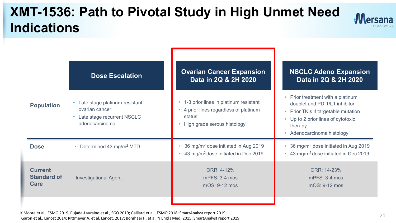### **XMT-1536: Path to Pivotal Study in High Unmet Need Indications**



|                                              | <b>Dose Escalation</b>                                                                            | <b>Ovarian Cancer Expansion</b><br>Data in 2Q & 2H 2020                                                                | <b>NSCLC Adeno Expansion</b><br>Data in 2Q & 2H 2020                                                                                                                                                         |
|----------------------------------------------|---------------------------------------------------------------------------------------------------|------------------------------------------------------------------------------------------------------------------------|--------------------------------------------------------------------------------------------------------------------------------------------------------------------------------------------------------------|
| <b>Population</b>                            | Late stage platinum-resistant<br>ovarian cancer<br>• Late stage recurrent NSCLC<br>adenocarcinoma | 1-3 prior lines in platinum resistant<br>4 prior lines regardless of platinum<br>status<br>High grade serous histology | • Prior treatment with a platinum<br>doublet and PD-1/L1 inhibitor<br>Prior TKIs if targetable mutation<br>$\bullet$<br>Up to 2 prior lines of cytotoxic<br>$\bullet$<br>therapy<br>Adenocarcinoma histology |
| <b>Dose</b>                                  | • Determined 43 mg/m <sup>2</sup> MTD                                                             | 36 mg/m <sup>2</sup> dose initiated in Aug 2019<br>43 mg/m <sup>2</sup> dose initiated in Dec 2019                     | 36 mg/m <sup>2</sup> dose initiated in Aug 2019<br>43 mg/m <sup>2</sup> dose initiated in Dec 2019<br>$\bullet$                                                                                              |
| <b>Current</b><br><b>Standard of</b><br>Care | <b>Investigational Agent</b>                                                                      | ORR: 4-12%<br>$m$ PFS: 3-4 mos<br>mOS: 9-12 mos                                                                        | ORR: 14-23%<br>$m$ PFS: 3-4 mos<br>mOS: 9-12 mos                                                                                                                                                             |
|                                              |                                                                                                   |                                                                                                                        |                                                                                                                                                                                                              |

K Moore et al., ESMO 2019; Pujade-Lauraine et al., SGO 2019; Gaillard et al., ESMO 2018; SmartAnalyst report 2019 Garon et al., Lancet 2014; Rittmeyer A, et al. Lancet. 2017; Borghaei H, et al. N Engl J Med. 2015; SmartAnalyst report 2019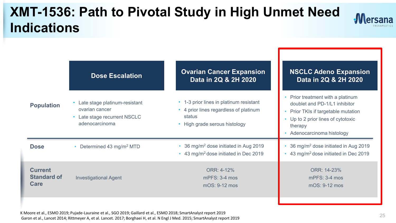## **XMT-1536: Path to Pivotal Study in High Unmet Need Indications**



| <b>Population</b>                            | <b>Dose Escalation</b>                                                                                       | <b>Ovarian Cancer Expansion</b><br>Data in 2Q & 2H 2020                                                                    | <b>NSCLC Adeno Expansion</b><br>Data in 2Q & 2H 2020                                                                                                                             |
|----------------------------------------------|--------------------------------------------------------------------------------------------------------------|----------------------------------------------------------------------------------------------------------------------------|----------------------------------------------------------------------------------------------------------------------------------------------------------------------------------|
|                                              | Late stage platinum-resistant<br>ovarian cancer<br>Late stage recurrent NSCLC<br>$\bullet$<br>adenocarcinoma | • 1-3 prior lines in platinum resistant<br>4 prior lines regardless of platinum<br>status<br>• High grade serous histology | Prior treatment with a platinum<br>doublet and PD-1/L1 inhibitor<br>Prior TKIs if targetable mutation<br>Up to 2 prior lines of cytotoxic<br>therapy<br>Adenocarcinoma histology |
| <b>Dose</b>                                  | • Determined 43 mg/m <sup>2</sup> MTD                                                                        | • 36 mg/m <sup>2</sup> dose initiated in Aug 2019<br>• 43 mg/m <sup>2</sup> dose initiated in Dec 2019                     | 36 mg/m <sup>2</sup> dose initiated in Aug 2019<br>43 mg/m <sup>2</sup> dose initiated in Dec 2019                                                                               |
| <b>Current</b><br><b>Standard of</b><br>Care | <b>Investigational Agent</b>                                                                                 | ORR: 4-12%<br>$m$ PFS: 3-4 mos<br>mOS: 9-12 mos                                                                            | ORR: 14-23%<br>$m$ PFS: 3-4 mos<br>mOS: 9-12 mos                                                                                                                                 |
|                                              |                                                                                                              |                                                                                                                            |                                                                                                                                                                                  |

K Moore et al., ESMO 2019; Pujade-Lauraine et al., SGO 2019; Gaillard et al., ESMO 2018; SmartAnalyst report 2019 Garon et al., Lancet 2014; Rittmeyer A, et al. Lancet. 2017; Borghaei H, et al. N Engl J Med. 2015; SmartAnalyst report 2019